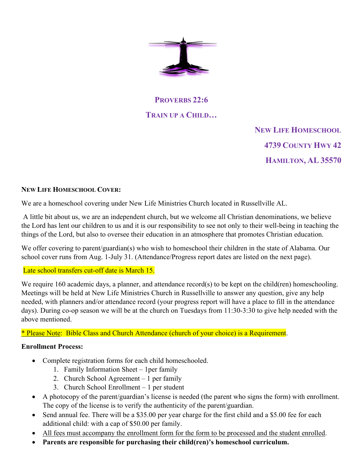

# **PROVERBS 22:6 TRAIN UP A CHILD…**

 **NEW LIFE HOMESCHOOL 4739 COUNTY HWY 42 HAMILTON, AL 35570** 

## **NEW LIFE HOMESCHOOL COVER:**

We are a homeschool covering under New Life Ministries Church located in Russellville AL.

 A little bit about us, we are an independent church, but we welcome all Christian denominations, we believe the Lord has lent our children to us and it is our responsibility to see not only to their well-being in teaching the things of the Lord, but also to oversee their education in an atmosphere that promotes Christian education.

We offer covering to parent/guardian(s) who wish to homeschool their children in the state of Alabama. Our school cover runs from Aug. 1-July 31. (Attendance/Progress report dates are listed on the next page).

## Late school transfers cut-off date is March 15.

We require 160 academic days, a planner, and attendance record(s) to be kept on the child(ren) homeschooling. Meetings will be held at New Life Ministries Church in Russellville to answer any question, give any help needed, with planners and/or attendance record (your progress report will have a place to fill in the attendance days). During co-op season we will be at the church on Tuesdays from 11:30-3:30 to give help needed with the above mentioned.

\* Please Note: Bible Class and Church Attendance (church of your choice) is a Requirement.

## **Enrollment Process:**

- Complete registration forms for each child homeschooled.
	- 1. Family Information Sheet 1per family
	- 2. Church School Agreement 1 per family
	- 3. Church School Enrollment 1 per student
- A photocopy of the parent/guardian's license is needed (the parent who signs the form) with enrollment. The copy of the license is to verify the authenticity of the parent/guardian.
- Send annual fee. There will be a \$35.00 per year charge for the first child and a \$5.00 fee for each additional child: with a cap of \$50.00 per family.
- All fees must accompany the enrollment form for the form to be processed and the student enrolled.
- **Parents are responsible for purchasing their child(ren)'s homeschool curriculum.**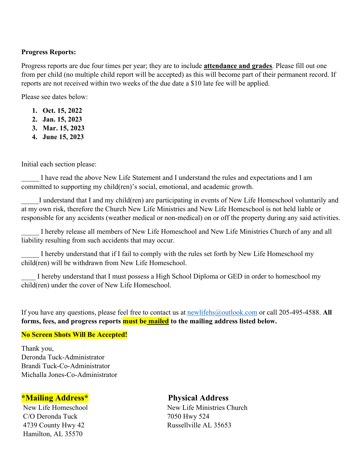#### **Progress Reports:**

Progress reports are due four times per year; they are to include **attendance and grades**. Please fill out one from per child (no multiple child report will be accepted) as this will become part of their permanent record. If reports are not received within two weeks of the due date a \$10 late fee will be applied.

Please see dates below:

- **1. Oct. 15, 2022**
- **2. Jan. 15, 2023**
- **3. Mar. 15, 2023**
- **4. June 15, 2023**

Initial each section please:

I have read the above New Life Statement and I understand the rules and expectations and I am committed to supporting my child(ren)'s social, emotional, and academic growth.

I understand that I and my child(ren) are participating in events of New Life Homeschool voluntarily and at my own risk, therefore the Church New Life Ministries and New Life Homeschool is not held liable or responsible for any accidents (weather medical or non-medical) on or off the property during any said activities.

I hereby release all members of New Life Homeschool and New Life Ministries Church of any and all liability resulting from such accidents that may occur.

I hereby understand that if I fail to comply with the rules set forth by New Life Homeschool my child(ren) will be withdrawn from New Life Homeschool.

I hereby understand that I must possess a High School Diploma or GED in order to homeschool my child(ren) under the cover of New Life Homeschool.

If you have any questions, please feel free to contact us at newlifehs@outlook.com or call 205-495-4588. **All forms, fees, and progress reports must be mailed to the mailing address listed below.** 

## **No Screen Shots Will Be Accepted!**

Thank you, Deronda Tuck-Administrator Brandi Tuck-Co-Administrator Michalla Jones-Co-Administrator

## **\*Mailing Address\* Physical Address**

C/O Deronda Tuck 7050 Hwy 524 Hamilton, AL 35570

New Life Homeschool New Life Ministries Church 4739 County Hwy 42 Russellville AL 35653